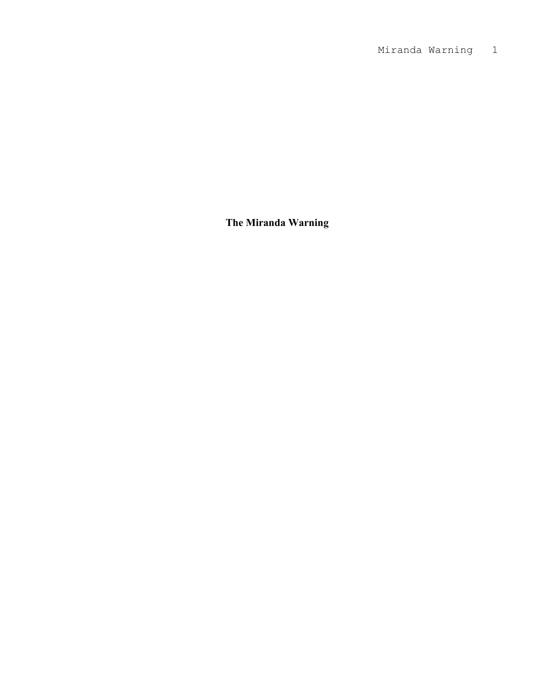**The Miranda Warning**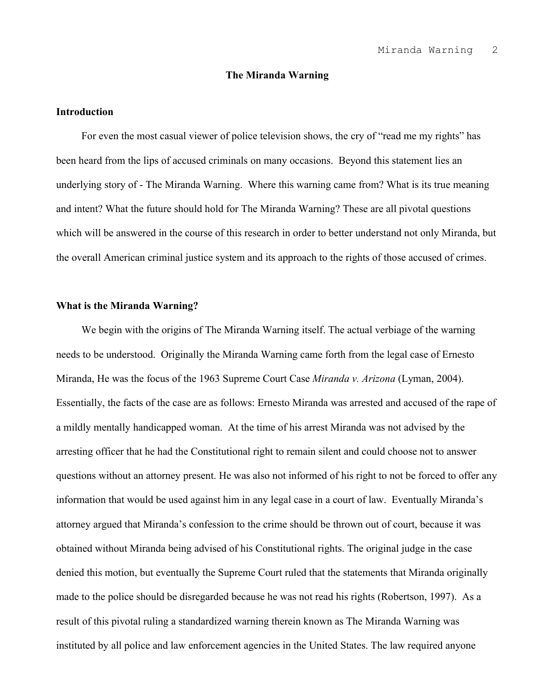## **The Miranda Warning**

## **Introduction**

For even the most casual viewer of police television shows, the cry of "read me my rights" has been heard from the lips of accused criminals on many occasions. Beyond this statement lies an underlying story of - The Miranda Warning. Where this warning came from? What is its true meaning and intent? What the future should hold for The Miranda Warning? These are all pivotal questions which will be answered in the course of this research in order to better understand not only Miranda, but the overall American criminal justice system and its approach to the rights of those accused of crimes.

## **What is the Miranda Warning?**

We begin with the origins of The Miranda Warning itself. The actual verbiage of the warning needs to be understood. Originally the Miranda Warning came forth from the legal case of Ernesto Miranda, He was the focus of the 1963 Supreme Court Case *Miranda v. Arizona* (Lyman, 2004). Essentially, the facts of the case are as follows: Ernesto Miranda was arrested and accused of the rape of a mildly mentally handicapped woman. At the time of his arrest Miranda was not advised by the arresting officer that he had the Constitutional right to remain silent and could choose not to answer questions without an attorney present. He was also not informed of his right to not be forced to offer any information that would be used against him in any legal case in a court of law. Eventually Miranda's attorney argued that Miranda's confession to the crime should be thrown out of court, because it was obtained without Miranda being advised of his Constitutional rights. The original judge in the case denied this motion, but eventually the Supreme Court ruled that the statements that Miranda originally made to the police should be disregarded because he was not read his rights (Robertson, 1997). As a result of this pivotal ruling a standardized warning therein known as The Miranda Warning was instituted by all police and law enforcement agencies in the United States. The law required anyone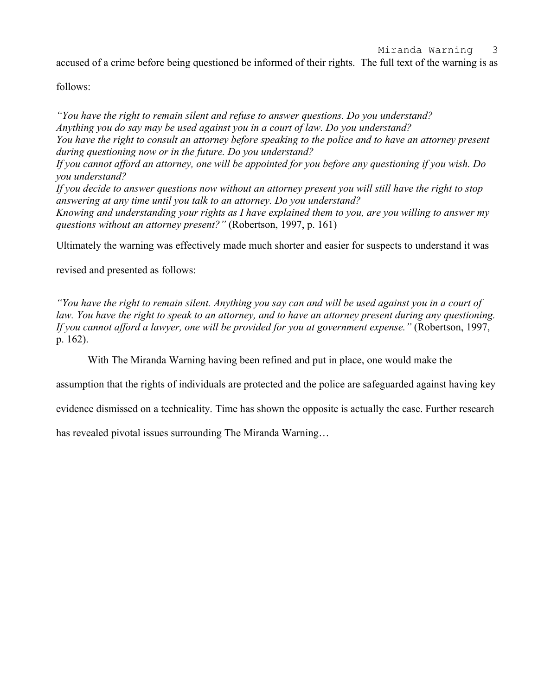accused of a crime before being questioned be informed of their rights. The full text of the warning is as

follows:

*"You have the right to remain silent and refuse to answer questions. Do you understand? Anything you do say may be used against you in a court of law. Do you understand? You have the right to consult an attorney before speaking to the police and to have an attorney present during questioning now or in the future. Do you understand? If you cannot afford an attorney, one will be appointed for you before any questioning if you wish. Do you understand? If you decide to answer questions now without an attorney present you will still have the right to stop answering at any time until you talk to an attorney. Do you understand? Knowing and understanding your rights as I have explained them to you, are you willing to answer my questions without an attorney present?"* (Robertson, 1997, p. 161)

Ultimately the warning was effectively made much shorter and easier for suspects to understand it was

revised and presented as follows:

*"You have the right to remain silent. Anything you say can and will be used against you in a court of law. You have the right to speak to an attorney, and to have an attorney present during any questioning. If you cannot afford a lawyer, one will be provided for you at government expense."* (Robertson, 1997, p. 162).

With The Miranda Warning having been refined and put in place, one would make the

assumption that the rights of individuals are protected and the police are safeguarded against having key

evidence dismissed on a technicality. Time has shown the opposite is actually the case. Further research

has revealed pivotal issues surrounding The Miranda Warning…